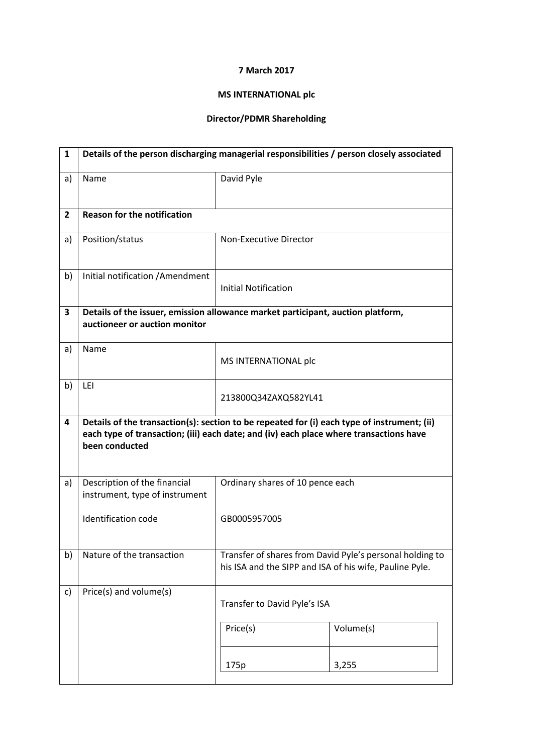## 7 March 2017

## MS INTERNATIONAL plc

## Director/PDMR Shareholding

| $\mathbf{1}$ | Details of the person discharging managerial responsibilities / person closely associated |                                                                                                                                                                                       |           |  |  |
|--------------|-------------------------------------------------------------------------------------------|---------------------------------------------------------------------------------------------------------------------------------------------------------------------------------------|-----------|--|--|
| a)           | Name                                                                                      | David Pyle                                                                                                                                                                            |           |  |  |
| $\mathbf{2}$ | <b>Reason for the notification</b>                                                        |                                                                                                                                                                                       |           |  |  |
| a)           | Position/status                                                                           | Non-Executive Director                                                                                                                                                                |           |  |  |
| b)           | Initial notification / Amendment                                                          | <b>Initial Notification</b>                                                                                                                                                           |           |  |  |
| 3            | auctioneer or auction monitor                                                             | Details of the issuer, emission allowance market participant, auction platform,                                                                                                       |           |  |  |
| a)           | Name                                                                                      | MS INTERNATIONAL plc                                                                                                                                                                  |           |  |  |
| b)           | LEI                                                                                       | 213800Q34ZAXQ582YL41                                                                                                                                                                  |           |  |  |
| 4            | been conducted                                                                            | Details of the transaction(s): section to be repeated for (i) each type of instrument; (ii)<br>each type of transaction; (iii) each date; and (iv) each place where transactions have |           |  |  |
| a)           | Description of the financial<br>instrument, type of instrument                            | Ordinary shares of 10 pence each                                                                                                                                                      |           |  |  |
|              | Identification code                                                                       | GB0005957005                                                                                                                                                                          |           |  |  |
| b)           | Nature of the transaction                                                                 | Transfer of shares from David Pyle's personal holding to<br>his ISA and the SIPP and ISA of his wife, Pauline Pyle.                                                                   |           |  |  |
| c)           | Price(s) and volume(s)                                                                    | Transfer to David Pyle's ISA                                                                                                                                                          |           |  |  |
|              |                                                                                           | Price(s)                                                                                                                                                                              | Volume(s) |  |  |
|              |                                                                                           | 175p                                                                                                                                                                                  | 3,255     |  |  |